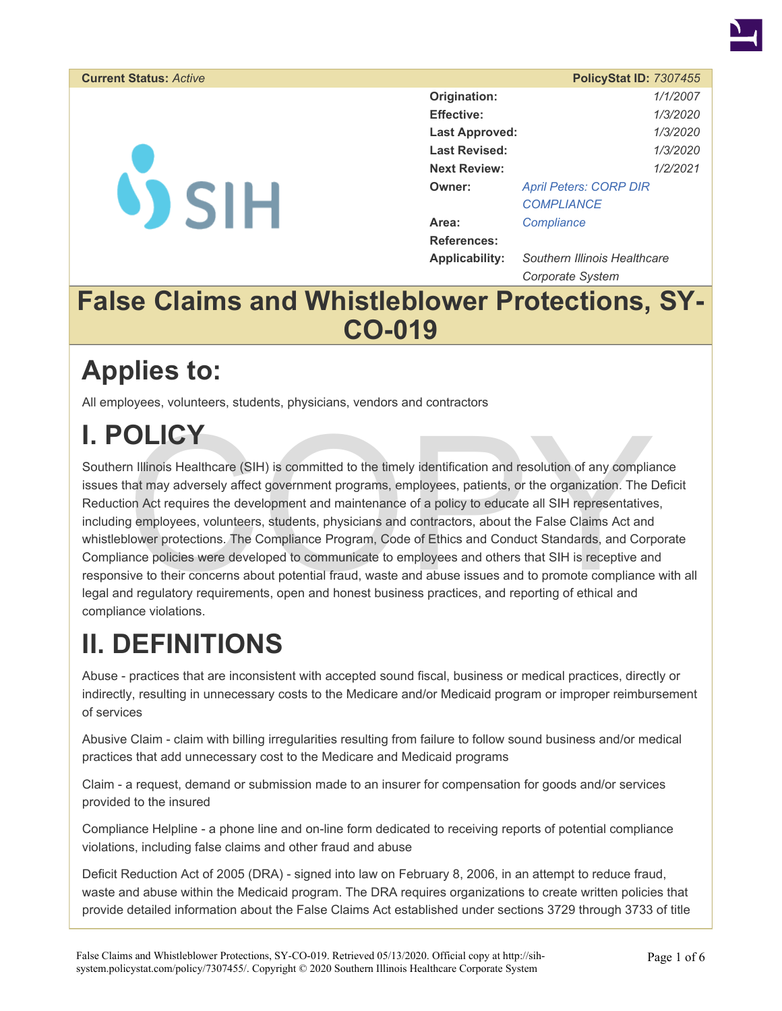

#### **Current Status: Active**

**VSIH** 

|                       | <b>PolicyStat ID: 7307455</b> |                 |  |
|-----------------------|-------------------------------|-----------------|--|
| Origination:          |                               | 1/1/2007        |  |
| <b>Effective:</b>     |                               | 1/3/2020        |  |
| <b>Last Approved:</b> |                               | <i>1/3/2020</i> |  |
| <b>Last Revised:</b>  |                               | 1/3/2020        |  |
| <b>Next Review:</b>   |                               | 1/2/2021        |  |
| Owner:                | <b>April Peters: CORP DIR</b> |                 |  |
|                       | <b>COMPLIANCE</b>             |                 |  |
| Area:                 | Compliance                    |                 |  |
| <b>References:</b>    |                               |                 |  |
| <b>Applicability:</b> | Southern Illinois Healthcare  |                 |  |

*Corporate System* 

### **False Claims and Whistleblower Protections, SY-CO-019**

## **Applies to:**

All employees, volunteers, students, physicians, vendors and contractors

# **I. POLICY**

**OLICY**<br>
In Illinois Healthcare (SIH) is committed to the timely identification and resolution of any complia<br>
hat may adversely affect government programs, employees, patients, or the organization. The I<br>
on Act requires Southern Illinois Healthcare (SIH) is committed to the timely identification and resolution of any compliance issues that may adversely affect government programs, employees, patients, or the organization. The Deficit Reduction Act requires the development and maintenance of a policy to educate all SIH representatives, including employees, volunteers, students, physicians and contractors, about the False Claims Act and whistleblower protections. The Compliance Program, Code of Ethics and Conduct Standards, and Corporate Compliance policies were developed to communicate to employees and others that SIH is receptive and responsive to their concerns about potential fraud, waste and abuse issues and to promote compliance with all legal and regulatory requirements, open and honest business practices, and reporting of ethical and compliance violations.

# **II. DEFINITIONS**

Abuse - practices that are inconsistent with accepted sound fiscal, business or medical practices, directly or indirectly, resulting in unnecessary costs to the Medicare and/or Medicaid program or improper reimbursement of services

Abusive Claim - claim with billing irregularities resulting from failure to follow sound business and/or medical practices that add unnecessary cost to the Medicare and Medicaid programs

Claim - a request, demand or submission made to an insurer for compensation for goods and/or services provided to the insured

Compliance Helpline - a phone line and on-line form dedicated to receiving reports of potential compliance violations, including false claims and other fraud and abuse

Deficit Reduction Act of 2005 (DRA) - signed into law on February 8, 2006, in an attempt to reduce fraud, waste and abuse within the Medicaid program. The DRA requires organizations to create written policies that provide detailed information about the False Claims Act established under sections 3729 through 3733 of title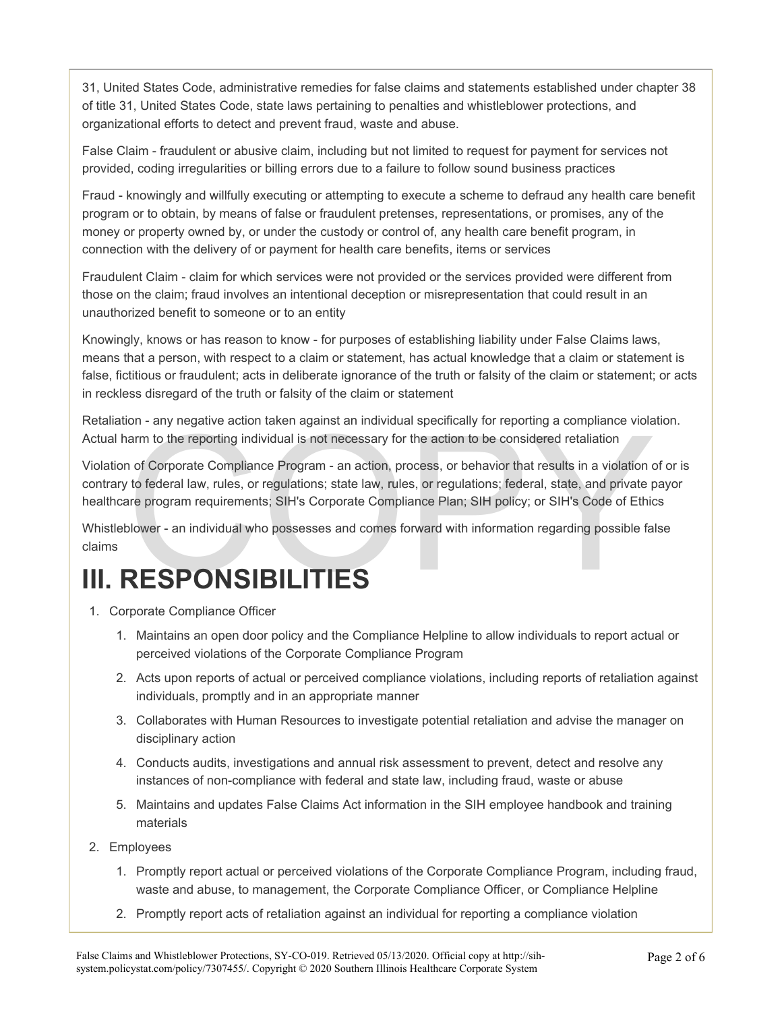31, United States Code, administrative remedies for false claims and statements established under chapter 38 of title 31, United States Code, state laws pertaining to penalties and whistleblower protections, and organizational efforts to detect and prevent fraud, waste and abuse.

False Claim - fraudulent or abusive claim, including but not limited to request for payment for services not provided, coding irregularities or billing errors due to a failure to follow sound business practices

Fraud - knowingly and willfully executing or attempting to execute a scheme to defraud any health care benefit program or to obtain, by means of false or fraudulent pretenses, representations, or promises, any of the money or property owned by, or under the custody or control of, any health care benefit program, in connection with the delivery of or payment for health care benefits, items or services

Fraudulent Claim - claim for which services were not provided or the services provided were different from those on the claim; fraud involves an intentional deception or misrepresentation that could result in an unauthorized benefit to someone or to an entity

Knowingly, knows or has reason to know - for purposes of establishing liability under False Claims laws, means that a person, with respect to a claim or statement, has actual knowledge that a claim or statement is false, fictitious or fraudulent; acts in deliberate ignorance of the truth or falsity of the claim or statement; or acts in reckless disregard of the truth or falsity of the claim or statement

Retaliation - any negative action taken against an individual specifically for reporting a compliance violation. Actual harm to the reporting individual is not necessary for the action to be considered retaliation

tion - any negative action taken against an individual specifically for reporting a compliance violar harm to the reporting individual is not necessary for the action to be considered retaliation on of Corporate Compliance Violation of Corporate Compliance Program - an action, process, or behavior that results in a violation of or is contrary to federal law, rules, or regulations; state law, rules, or regulations; federal, state, and private payor healthcare program requirements; SIH's Corporate Compliance Plan; SIH policy; or SIH's Code of Ethics

Whistleblower - an individual who possesses and comes forward with information regarding possible false claims

## **III. RESPONSIBILITIES**

- 1. Corporate Compliance Officer
	- 1. Maintains an open door policy and the Compliance Helpline to allow individuals to report actual or perceived violations of the Corporate Compliance Program
	- 2. Acts upon reports of actual or perceived compliance violations, including reports of retaliation against individuals, promptly and in an appropriate manner
	- 3. Collaborates with Human Resources to investigate potential retaliation and advise the manager on disciplinary action
	- 4. Conducts audits, investigations and annual risk assessment to prevent, detect and resolve any instances of non-compliance with federal and state law, including fraud, waste or abuse
	- 5. Maintains and updates False Claims Act information in the SIH employee handbook and training materials
- 2. Employees
	- 1. Promptly report actual or perceived violations of the Corporate Compliance Program, including fraud, waste and abuse, to management, the Corporate Compliance Officer, or Compliance Helpline
	- 2. Promptly report acts of retaliation against an individual for reporting a compliance violation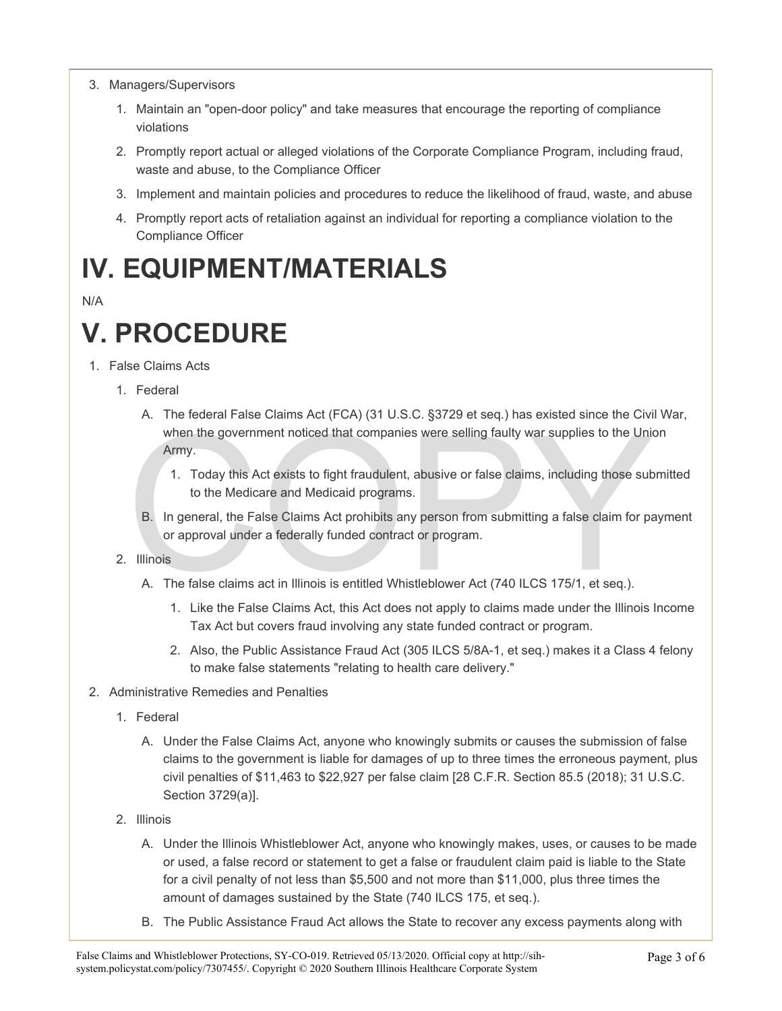- 3. Managers/Supervisors
	- 1. Maintain an "open-door policy" and take measures that encourage the reporting of compliance violations
	- 2. Promptly report actual or alleged violations of the Corporate Compliance Program, including fraud, waste and abuse, to the Compliance Officer
	- 3. Implement and maintain policies and procedures to reduce the likelihood of fraud, waste, and abuse
	- 4. Promptly report acts of retaliation against an individual for reporting a compliance violation to the Compliance Officer

### **IV. EQUIPMENT/MATERIALS**

#### N/A

## **V. PROCEDURE**

- 1. False Claims Acts
	- 1. Federal
		- when the government noticed that companies were selling faulty war supplies to the Unior Army.<br>
		1. Today this Act exists to fight fraudulent, abusive or false claims, including those sub to the Medicare and Medicaid progra A. The federal False Claims Act (FCA) (31 U.S.C. §3729 et seq.) has existed since the Civil War, when the government noticed that companies were selling faulty war supplies to the Union Army.
			- 1. Today this Act exists to fight fraudulent, abusive or false claims, including those submitted to the Medicare and Medicaid programs.
			- B. In general, the False Claims Act prohibits any person from submitting a false claim for payment or approval under a federally funded contract or program.
	- 2. Illinois
		- A. The false claims act in Illinois is entitled Whistleblower Act (740 ILCS 175/1, et seq.).
			- 1. Like the False Claims Act, this Act does not apply to claims made under the Illinois Income Tax Act but covers fraud involving any state funded contract or program.
			- 2. Also, the Public Assistance Fraud Act (305 ILCS 5/8A-1, et seq.) makes it a Class 4 felony to make false statements "relating to health care delivery."
- 2. Administrative Remedies and Penalties
	- 1. Federal
		- A. Under the False Claims Act, anyone who knowingly submits or causes the submission of false claims to the government is liable for damages of up to three times the erroneous payment, plus civil penalties of \$11,463 to \$22,927 per false claim [28 C.F.R. Section 85.5 (2018); 31 U.S.C. Section 3729(a)].
	- 2. Illinois
		- A. Under the Illinois Whistleblower Act, anyone who knowingly makes, uses, or causes to be made or used, a false record or statement to get a false or fraudulent claim paid is liable to the State for a civil penalty of not less than \$5,500 and not more than \$11,000, plus three times the amount of damages sustained by the State (740 ILCS 175, et seq.).
		- B. The Public Assistance Fraud Act allows the State to recover any excess payments along with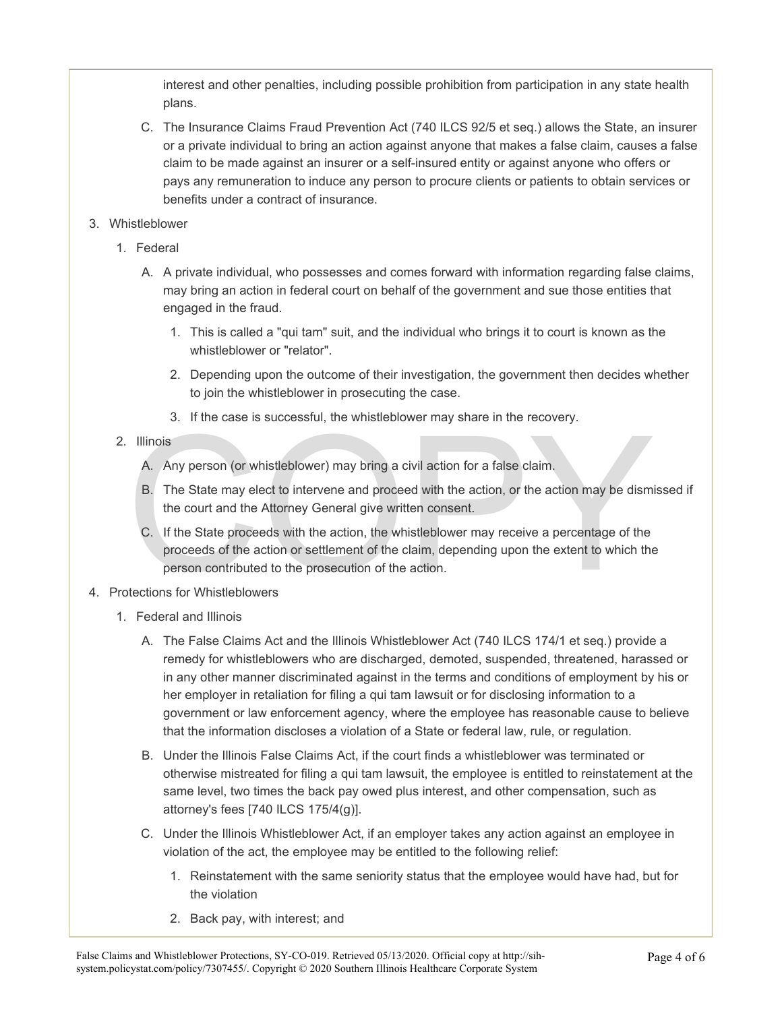interest and other penalties, including possible prohibition from participation in any state health plans.

- C. The Insurance Claims Fraud Prevention Act (740 ILCS 92/5 et seq.) allows the State, an insurer or a private individual to bring an action against anyone that makes a false claim, causes a false claim to be made against an insurer or a self-insured entity or against anyone who offers or pays any remuneration to induce any person to procure clients or patients to obtain services or benefits under a contract of insurance.
- 3. Whistleblower
	- 1. Federal
		- A. A private individual, who possesses and comes forward with information regarding false claims, may bring an action in federal court on behalf of the government and sue those entities that engaged in the fraud.
			- 1. This is called a "qui tam" suit, and the individual who brings it to court is known as the whistleblower or "relator".
			- 2. Depending upon the outcome of their investigation, the government then decides whether to join the whistleblower in prosecuting the case.
			- 3. If the case is successful, the whistleblower may share in the recovery.
	- 2. Illinois
		- A. Any person (or whistleblower) may bring a civil action for a false claim.
		- B. The State may elect to intervene and proceed with the action, or the action may be dismissed if the court and the Attorney General give written consent.
- or the case is successian, the winstechower may share in the receivery.<br>
A. Any person (or whistleblower) may bring a civil action for a false claim.<br>
B. The State may elect to intervene and proceed with the action, or the C. If the State proceeds with the action, the whistleblower may receive a percentage of the proceeds of the action or settlement of the claim, depending upon the extent to which the person contributed to the prosecution of the action.
- 4. Protections for Whistleblowers
	- 1. Federal and Illinois
		- A. The False Claims Act and the Illinois Whistleblower Act (740 ILCS 174/1 et seq.) provide a remedy for whistleblowers who are discharged, demoted, suspended, threatened, harassed or in any other manner discriminated against in the terms and conditions of employment by his or her employer in retaliation for filing a qui tam lawsuit or for disclosing information to a government or law enforcement agency, where the employee has reasonable cause to believe that the information discloses a violation of a State or federal law, rule, or regulation.
		- B. Under the Illinois False Claims Act, if the court finds a whistleblower was terminated or otherwise mistreated for filing a qui tam lawsuit, the employee is entitled to reinstatement at the same level, two times the back pay owed plus interest, and other compensation, such as attorney's fees [740 ILCS 175/4(g)].
		- C. Under the Illinois Whistleblower Act, if an employer takes any action against an employee in violation of the act, the employee may be entitled to the following relief:
			- 1. Reinstatement with the same seniority status that the employee would have had, but for the violation
			- 2. Back pay, with interest; and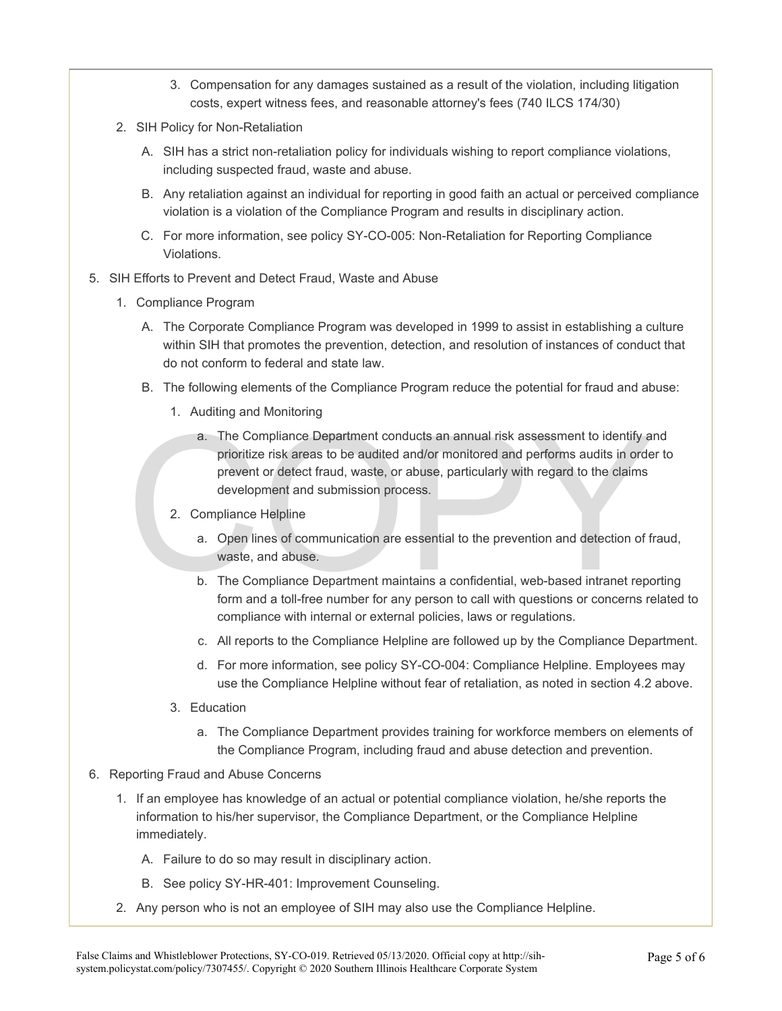- 3. Compensation for any damages sustained as a result of the violation, including litigation costs, expert witness fees, and reasonable attorney's fees (740 ILCS 174/30)
- 2. SIH Policy for Non-Retaliation
	- A. SIH has a strict non-retaliation policy for individuals wishing to report compliance violations, including suspected fraud, waste and abuse.
	- B. Any retaliation against an individual for reporting in good faith an actual or perceived compliance violation is a violation of the Compliance Program and results in disciplinary action.
	- C. For more information, see policy SY-CO-005: Non-Retaliation for Reporting Compliance Violations.
- 5. SIH Efforts to Prevent and Detect Fraud, Waste and Abuse
	- 1. Compliance Program
		- A. The Corporate Compliance Program was developed in 1999 to assist in establishing a culture within SIH that promotes the prevention, detection, and resolution of instances of conduct that do not conform to federal and state law.
		- B. The following elements of the Compliance Program reduce the potential for fraud and abuse:
			- 1. Auditing and Monitoring
		- a. The Compliance Department conducts an annual risk assessment to identify a<br>prioritize risk areas to be audited and/or monitored and performs audits in orde<br>prevent or detect fraud, waste, or abuse, particularly with reg a. The Compliance Department conducts an annual risk assessment to identify and prioritize risk areas to be audited and/or monitored and performs audits in order to prevent or detect fraud, waste, or abuse, particularly with regard to the claims development and submission process.
			- 2. Compliance Helpline
				- a. Open lines of communication are essential to the prevention and detection of fraud, waste, and abuse.
				- b. The Compliance Department maintains a confidential, web-based intranet reporting form and a toll-free number for any person to call with questions or concerns related to compliance with internal or external policies, laws or regulations.
				- c. All reports to the Compliance Helpline are followed up by the Compliance Department.
				- d. For more information, see policy SY-CO-004: Compliance Helpline. Employees may use the Compliance Helpline without fear of retaliation, as noted in section 4.2 above.
			- 3. Education
				- a. The Compliance Department provides training for workforce members on elements of the Compliance Program, including fraud and abuse detection and prevention.
- 6. Reporting Fraud and Abuse Concerns
	- 1. If an employee has knowledge of an actual or potential compliance violation, he/she reports the information to his/her supervisor, the Compliance Department, or the Compliance Helpline immediately.
		- A. Failure to do so may result in disciplinary action.
		- B. See policy SY-HR-401: Improvement Counseling.
	- 2. Any person who is not an employee of SIH may also use the Compliance Helpline.